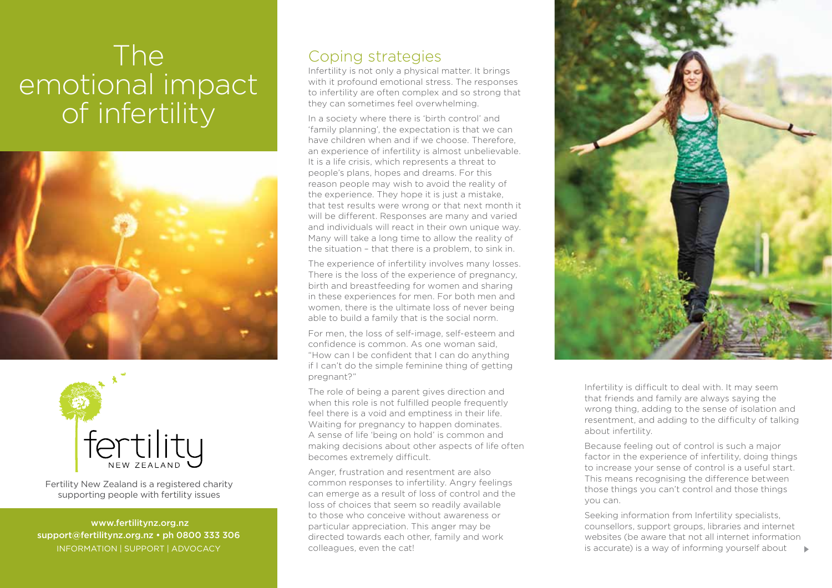## The emotional impact of infertility





Fertility New Zealand is a registered charity supporting people with fertility issues

 www.fertilitynz.org.nz support@fertilitynz.org.nz • ph 0800 333 306 information | support | advocacy

## Coping strategies

Infertility is not only a physical matter. It brings with it profound emotional stress. The responses to infertility are often complex and so strong that they can sometimes feel overwhelming.

In a society where there is 'birth control' and 'family planning', the expectation is that we can have children when and if we choose. Therefore, an experience of infertility is almost unbelievable. It is a life crisis, which represents a threat to people's plans, hopes and dreams. For this reason people may wish to avoid the reality of the experience. They hope it is just a mistake, that test results were wrong or that next month it will be different. Responses are many and varied and individuals will react in their own unique way. Many will take a long time to allow the reality of the situation – that there is a problem, to sink in.

The experience of infertility involves many losses. There is the loss of the experience of pregnancy, birth and breastfeeding for women and sharing in these experiences for men. For both men and women, there is the ultimate loss of never being able to build a family that is the social norm.

For men, the loss of self-image, self-esteem and confidence is common. As one woman said, "How can I be confident that I can do anything if I can't do the simple feminine thing of getting pregnant?"

The role of being a parent gives direction and when this role is not fulfilled people frequently feel there is a void and emptiness in their life. Waiting for pregnancy to happen dominates. A sense of life 'being on hold' is common and making decisions about other aspects of life often becomes extremely difficult.

Anger, frustration and resentment are also common responses to infertility. Angry feelings can emerge as a result of loss of control and the loss of choices that seem so readily available to those who conceive without awareness or particular appreciation. This anger may be directed towards each other, family and work colleagues, even the cat!

Infertility is difficult to deal with. It may seem that friends and family are always saying the wrong thing, adding to the sense of isolation and resentment, and adding to the difficulty of talking about infertility.

Because feeling out of control is such a major factor in the experience of infertility, doing things to increase your sense of control is a useful start. This means recognising the difference between those things you can't control and those things you can.

Seeking information from Infertility specialists, counsellors, support groups, libraries and internet websites (be aware that not all internet information is accurate) is a way of informing yourself about